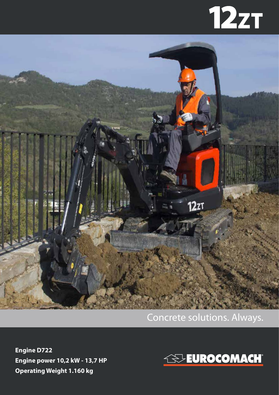# **12zT**



#### Concrete solutions. Always.

**Engine D722 Engine power 10,2 kW - 13,7 HP Operating Weight 1.160 kg**